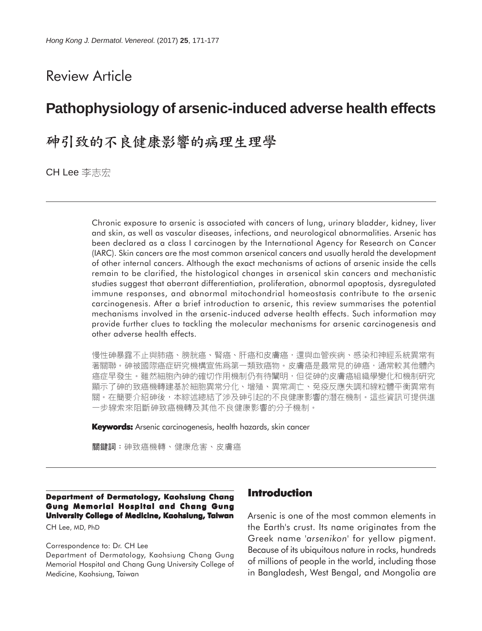# Review Article

# **Pathophysiology of arsenic-induced adverse health effects**

# 砷引致的不良健康影響的病理生理學

CH Lee 李志宏

Chronic exposure to arsenic is associated with cancers of lung, urinary bladder, kidney, liver and skin, as well as vascular diseases, infections, and neurological abnormalities. Arsenic has been declared as a class I carcinogen by the International Agency for Research on Cancer (IARC). Skin cancers are the most common arsenical cancers and usually herald the development of other internal cancers. Although the exact mechanisms of actions of arsenic inside the cells remain to be clarified, the histological changes in arsenical skin cancers and mechanistic studies suggest that aberrant differentiation, proliferation, abnormal apoptosis, dysregulated immune responses, and abnormal mitochondrial homeostasis contribute to the arsenic carcinogenesis. After a brief introduction to arsenic, this review summarises the potential mechanisms involved in the arsenic-induced adverse health effects. Such information may provide further clues to tackling the molecular mechanisms for arsenic carcinogenesis and other adverse health effects.

慢性砷暴露不止與肺癌、膀胱癌、腎癌、肝癌和皮膚癌,還與血管疾病、感染和神經系統異常有 著關聯。砷被國際癌症研究機構宣佈爲第一類致癌物。皮膚癌是最常見的砷癌,通常較其他體內 癌症早發生。雖然細胞內砷的確切作用機制仍有待闡明,但從砷的皮膚癌組織學變化和機制研究 顯示了砷的致癌機轉建基於細胞異常分化、增殖、異常凋亡、免疫反應失調和線粒體平衡異常有 關。在簡要介紹砷後,本綜述總結了涉及砷引起的不良健康影響的潛在機制。這些資訊可提供進 一步線索來阻斷砷致癌機轉及其他不良健康影響的分子機制。

**Keywords:** Arsenic carcinogenesis, health hazards, skin cancer

關鍵詞:砷致癌機轉、健康危害、皮膚癌

**Department of Dermatology, Kaohsiung Chang Gung Memorial Hospital and Chang Gung University College of Medicine, Kaohsiung, Taiwan**

CH Lee, MD, PhD

#### Correspondence to: Dr. CH Lee

Department of Dermatology, Kaohsiung Chang Gung Memorial Hospital and Chang Gung University College of Medicine, Kaohsiung, Taiwan

## **Introduction**

Arsenic is one of the most common elements in the Earth's crust. Its name originates from the Greek name '*arsenikon'* for yellow pigment. Because of its ubiquitous nature in rocks, hundreds of millions of people in the world, including those in Bangladesh, West Bengal, and Mongolia are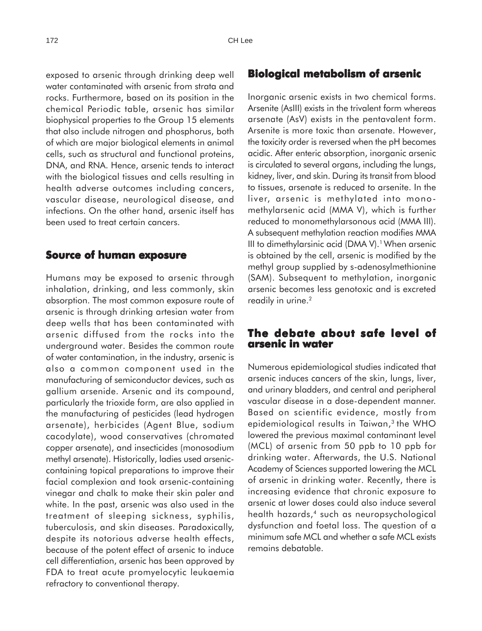exposed to arsenic through drinking deep well water contaminated with arsenic from strata and rocks. Furthermore, based on its position in the chemical Periodic table, arsenic has similar biophysical properties to the Group 15 elements that also include nitrogen and phosphorus, both of which are major biological elements in animal cells, such as structural and functional proteins, DNA, and RNA. Hence, arsenic tends to interact with the biological tissues and cells resulting in health adverse outcomes including cancers, vascular disease, neurological disease, and infections. On the other hand, arsenic itself has been used to treat certain cancers.

### **Source of human exposure**

Humans may be exposed to arsenic through inhalation, drinking, and less commonly, skin absorption. The most common exposure route of arsenic is through drinking artesian water from deep wells that has been contaminated with arsenic diffused from the rocks into the underground water. Besides the common route of water contamination, in the industry, arsenic is also a common component used in the manufacturing of semiconductor devices, such as gallium arsenide. Arsenic and its compound, particularly the trioxide form, are also applied in the manufacturing of pesticides (lead hydrogen arsenate), herbicides (Agent Blue, sodium cacodylate), wood conservatives (chromated copper arsenate), and insecticides (monosodium methyl arsenate). Historically, ladies used arseniccontaining topical preparations to improve their facial complexion and took arsenic-containing vinegar and chalk to make their skin paler and white. In the past, arsenic was also used in the treatment of sleeping sickness, syphilis, tuberculosis, and skin diseases. Paradoxically, despite its notorious adverse health effects, because of the potent effect of arsenic to induce cell differentiation, arsenic has been approved by FDA to treat acute promyelocytic leukaemia refractory to conventional therapy.

## **Biological metabolism of arsenic**

Inorganic arsenic exists in two chemical forms. Arsenite (AsIII) exists in the trivalent form whereas arsenate (AsV) exists in the pentavalent form. Arsenite is more toxic than arsenate. However, the toxicity order is reversed when the pH becomes acidic. After enteric absorption, inorganic arsenic is circulated to several organs, including the lungs, kidney, liver, and skin. During its transit from blood to tissues, arsenate is reduced to arsenite. In the liver, arsenic is methylated into monomethylarsenic acid (MMA V), which is further reduced to monomethylarsonous acid (MMA III). A subsequent methylation reaction modifies MMA III to dimethylarsinic acid (DMA V).<sup>1</sup> When arsenic is obtained by the cell, arsenic is modified by the methyl group supplied by s-adenosylmethionine (SAM). Subsequent to methylation, inorganic arsenic becomes less genotoxic and is excreted readily in urine.<sup>2</sup>

## **The debate about safe level of The debate safe level of arsenic in water**

Numerous epidemiological studies indicated that arsenic induces cancers of the skin, lungs, liver, and urinary bladders, and central and peripheral vascular disease in a dose-dependent manner. Based on scientific evidence, mostly from epidemiological results in Taiwan,<sup>3</sup> the WHO lowered the previous maximal contaminant level (MCL) of arsenic from 50 ppb to 10 ppb for drinking water. Afterwards, the U.S. National Academy of Sciences supported lowering the MCL of arsenic in drinking water. Recently, there is increasing evidence that chronic exposure to arsenic at lower doses could also induce several health hazards,<sup>4</sup> such as neuropsychological dysfunction and foetal loss. The question of a minimum safe MCL and whether a safe MCL exists remains debatable.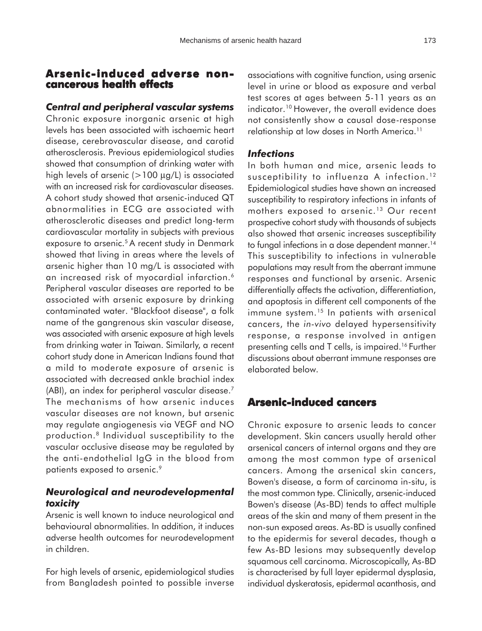# **Arsenic-induced adverse noncancerous health effects**

#### *Central and peripheral vascular systems*

Chronic exposure inorganic arsenic at high levels has been associated with ischaemic heart disease, cerebrovascular disease, and carotid atherosclerosis. Previous epidemiological studies showed that consumption of drinking water with high levels of arsenic  $(>100 \mu g/L)$  is associated with an increased risk for cardiovascular diseases. A cohort study showed that arsenic-induced QT abnormalities in ECG are associated with atherosclerotic diseases and predict long-term cardiovascular mortality in subjects with previous exposure to arsenic.<sup>5</sup> A recent study in Denmark showed that living in areas where the levels of arsenic higher than 10 mg/L is associated with an increased risk of myocardial infarction.<sup>6</sup> Peripheral vascular diseases are reported to be associated with arsenic exposure by drinking contaminated water. "Blackfoot disease", a folk name of the gangrenous skin vascular disease, was associated with arsenic exposure at high levels from drinking water in Taiwan. Similarly, a recent cohort study done in American Indians found that a mild to moderate exposure of arsenic is associated with decreased ankle brachial index (ABI), an index for peripheral vascular disease.<sup>7</sup> The mechanisms of how arsenic induces vascular diseases are not known, but arsenic may regulate angiogenesis via VEGF and NO production.8 Individual susceptibility to the vascular occlusive disease may be regulated by the anti-endothelial IgG in the blood from patients exposed to arsenic.<sup>9</sup>

## *Neurological and neurodevelopmental toxicity*

Arsenic is well known to induce neurological and behavioural abnormalities. In addition, it induces adverse health outcomes for neurodevelopment in children.

For high levels of arsenic, epidemiological studies from Bangladesh pointed to possible inverse associations with cognitive function, using arsenic level in urine or blood as exposure and verbal test scores at ages between 5-11 years as an indicator.10 However, the overall evidence does not consistently show a causal dose-response relationship at low doses in North America.<sup>11</sup>

#### *Infections*

In both human and mice, arsenic leads to susceptibility to influenza A infection.<sup>12</sup> Epidemiological studies have shown an increased susceptibility to respiratory infections in infants of mothers exposed to arsenic.<sup>13</sup> Our recent prospective cohort study with thousands of subjects also showed that arsenic increases susceptibility to fungal infections in a dose dependent manner.<sup>14</sup> This susceptibility to infections in vulnerable populations may result from the aberrant immune responses and functional by arsenic. Arsenic differentially affects the activation, differentiation, and apoptosis in different cell components of the immune system.<sup>15</sup> In patients with arsenical cancers, the *in-vivo* delayed hypersensitivity response, a response involved in antigen presenting cells and T cells, is impaired.<sup>16</sup> Further discussions about aberrant immune responses are elaborated below.

## **Arsenic-induced cancers**

Chronic exposure to arsenic leads to cancer development. Skin cancers usually herald other arsenical cancers of internal organs and they are among the most common type of arsenical cancers. Among the arsenical skin cancers, Bowen's disease, a form of carcinoma in-situ, is the most common type. Clinically, arsenic-induced Bowen's disease (As-BD) tends to affect multiple areas of the skin and many of them present in the non-sun exposed areas. As-BD is usually confined to the epidermis for several decades, though a few As-BD lesions may subsequently develop squamous cell carcinoma. Microscopically, As-BD is characterised by full layer epidermal dysplasia, individual dyskeratosis, epidermal acanthosis, and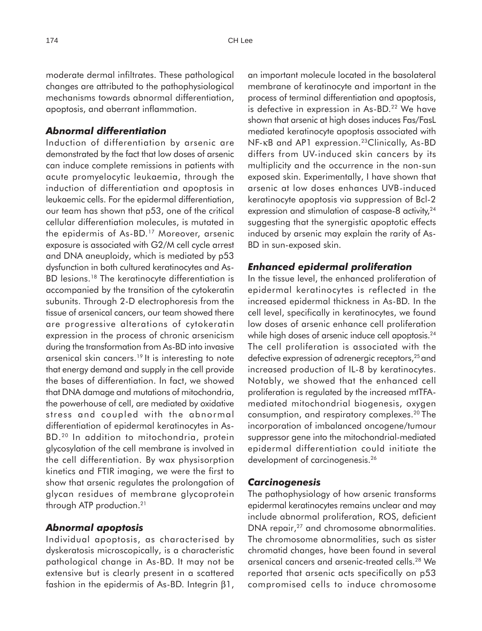moderate dermal infiltrates. These pathological changes are attributed to the pathophysiological mechanisms towards abnormal differentiation, apoptosis, and aberrant inflammation.

## *Abnormal differentiation*

Induction of differentiation by arsenic are demonstrated by the fact that low doses of arsenic can induce complete remissions in patients with acute promyelocytic leukaemia, through the induction of differentiation and apoptosis in leukaemic cells. For the epidermal differentiation, our team has shown that p53, one of the critical cellular differentiation molecules, is mutated in the epidermis of As-BD.<sup>17</sup> Moreover, arsenic exposure is associated with G2/M cell cycle arrest and DNA aneuploidy, which is mediated by p53 dysfunction in both cultured keratinocytes and As-BD lesions.<sup>18</sup> The keratinocyte differentiation is accompanied by the transition of the cytokeratin subunits. Through 2-D electrophoresis from the tissue of arsenical cancers, our team showed there are progressive alterations of cytokeratin expression in the process of chronic arsenicism during the transformation from As-BD into invasive arsenical skin cancers.<sup>19</sup> It is interesting to note that energy demand and supply in the cell provide the bases of differentiation. In fact, we showed that DNA damage and mutations of mitochondria, the powerhouse of cell, are mediated by oxidative stress and coupled with the abnormal differentiation of epidermal keratinocytes in As-BD.20 In addition to mitochondria, protein glycosylation of the cell membrane is involved in the cell differentiation. By wax physisorption kinetics and FTIR imaging, we were the first to show that arsenic regulates the prolongation of glycan residues of membrane glycoprotein through ATP production.<sup>21</sup>

### *Abnormal apoptosis*

Individual apoptosis, as characterised by dyskeratosis microscopically, is a characteristic pathological change in As-BD. It may not be extensive but is clearly present in a scattered fashion in the epidermis of As-BD. Integrin β1,

an important molecule located in the basolateral membrane of keratinocyte and important in the process of terminal differentiation and apoptosis, is defective in expression in As-BD.<sup>22</sup> We have shown that arsenic at high doses induces Fas/FasL mediated keratinocyte apoptosis associated with NF-κB and AP1 expression.23Clinically, As-BD differs from UV-induced skin cancers by its multiplicity and the occurrence in the non-sun exposed skin. Experimentally, I have shown that arsenic at low doses enhances UVB-induced keratinocyte apoptosis via suppression of Bcl-2 expression and stimulation of caspase-8 activity, <sup>24</sup> suggesting that the synergistic apoptotic effects induced by arsenic may explain the rarity of As-BD in sun-exposed skin.

### *Enhanced epidermal proliferation*

In the tissue level, the enhanced proliferation of epidermal keratinocytes is reflected in the increased epidermal thickness in As-BD. In the cell level, specifically in keratinocytes, we found low doses of arsenic enhance cell proliferation while high doses of arsenic induce cell apoptosis.<sup>24</sup> The cell proliferation is associated with the defective expression of adrenergic receptors,<sup>25</sup> and increased production of IL-8 by keratinocytes. Notably, we showed that the enhanced cell proliferation is regulated by the increased mtTFAmediated mitochondrial biogenesis, oxygen consumption, and respiratory complexes.20 The incorporation of imbalanced oncogene/tumour suppressor gene into the mitochondrial-mediated epidermal differentiation could initiate the development of carcinogenesis.<sup>26</sup>

### *Carcinogenesis*

The pathophysiology of how arsenic transforms epidermal keratinocytes remains unclear and may include abnormal proliferation, ROS, deficient DNA repair,<sup>27</sup> and chromosome abnormalities. The chromosome abnormalities, such as sister chromatid changes, have been found in several arsenical cancers and arsenic-treated cells.28 We reported that arsenic acts specifically on p53 compromised cells to induce chromosome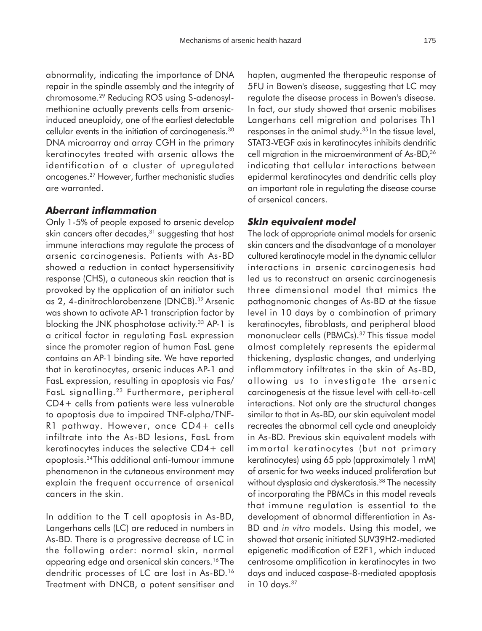abnormality, indicating the importance of DNA repair in the spindle assembly and the integrity of chromosome.29 Reducing ROS using S-adenosylmethionine actually prevents cells from arsenicinduced aneuploidy, one of the earliest detectable cellular events in the initiation of carcinogenesis.30 DNA microarray and array CGH in the primary keratinocytes treated with arsenic allows the identification of a cluster of upregulated oncogenes.27 However, further mechanistic studies are warranted.

#### *Aberrant inflammation*

Only 1-5% of people exposed to arsenic develop skin cancers after decades, $31$  suggesting that host immune interactions may regulate the process of arsenic carcinogenesis. Patients with As-BD showed a reduction in contact hypersensitivity response (CHS), a cutaneous skin reaction that is provoked by the application of an initiator such as 2, 4-dinitrochlorobenzene (DNCB).<sup>32</sup> Arsenic was shown to activate AP-1 transcription factor by blocking the JNK phosphotase activity.<sup>33</sup> AP-1 is a critical factor in regulating FasL expression since the promoter region of human FasL gene contains an AP-1 binding site. We have reported that in keratinocytes, arsenic induces AP-1 and FasL expression, resulting in apoptosis via Fas/ FasL signalling.<sup>23</sup> Furthermore, peripheral CD4+ cells from patients were less vulnerable to apoptosis due to impaired TNF-alpha/TNF-R1 pathway. However, once CD4+ cells infiltrate into the As-BD lesions, FasL from keratinocytes induces the selective CD4+ cell apoptosis.34This additional anti-tumour immune phenomenon in the cutaneous environment may explain the frequent occurrence of arsenical cancers in the skin.

In addition to the T cell apoptosis in As-BD, Langerhans cells (LC) are reduced in numbers in As-BD. There is a progressive decrease of LC in the following order: normal skin, normal appearing edge and arsenical skin cancers.16 The dendritic processes of LC are lost in As-BD.16 Treatment with DNCB, a potent sensitiser and hapten, augmented the therapeutic response of 5FU in Bowen's disease, suggesting that LC may regulate the disease process in Bowen's disease. In fact, our study showed that arsenic mobilises Langerhans cell migration and polarises Th1 responses in the animal study.<sup>35</sup> In the tissue level, STAT3-VEGF axis in keratinocytes inhibits dendritic cell migration in the microenvironment of As-BD,<sup>36</sup> indicating that cellular interactions between epidermal keratinocytes and dendritic cells play an important role in regulating the disease course of arsenical cancers.

#### *Skin equivalent model*

The lack of appropriate animal models for arsenic skin cancers and the disadvantage of a monolayer cultured keratinocyte model in the dynamic cellular interactions in arsenic carcinogenesis had led us to reconstruct an arsenic carcinogenesis three dimensional model that mimics the pathognomonic changes of As-BD at the tissue level in 10 days by a combination of primary keratinocytes, fibroblasts, and peripheral blood mononuclear cells (PBMCs).<sup>37</sup> This tissue model almost completely represents the epidermal thickening, dysplastic changes, and underlying inflammatory infiltrates in the skin of As-BD, allowing us to investigate the arsenic carcinogenesis at the tissue level with cell-to-cell interactions. Not only are the structural changes similar to that in As-BD, our skin equivalent model recreates the abnormal cell cycle and aneuploidy in As-BD. Previous skin equivalent models with immortal keratinocytes (but not primary keratinocytes) using 65 ppb (approximately 1 mM) of arsenic for two weeks induced proliferation but without dysplasia and dyskeratosis.<sup>38</sup> The necessity of incorporating the PBMCs in this model reveals that immune regulation is essential to the development of abnormal differentiation in As-BD and *in vitro* models. Using this model, we showed that arsenic initiated SUV39H2-mediated epigenetic modification of E2F1, which induced centrosome amplification in keratinocytes in two days and induced caspase-8-mediated apoptosis in  $10$  days. $37$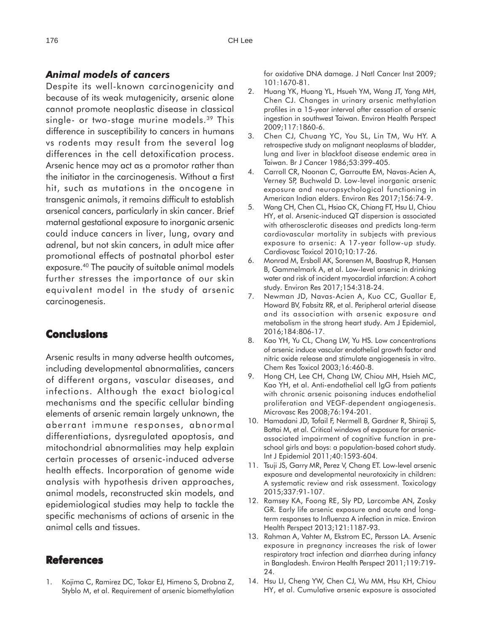## *Animal models of cancers*

Despite its well-known carcinogenicity and because of its weak mutagenicity, arsenic alone cannot promote neoplastic disease in classical single- or two-stage murine models.<sup>39</sup> This difference in susceptibility to cancers in humans vs rodents may result from the several log differences in the cell detoxification process. Arsenic hence may act as a promotor rather than the initiator in the carcinogenesis. Without a first hit, such as mutations in the oncogene in transgenic animals, it remains difficult to establish arsenical cancers, particularly in skin cancer. Brief maternal gestational exposure to inorganic arsenic could induce cancers in liver, lung, ovary and adrenal, but not skin cancers, in adult mice after promotional effects of postnatal phorbol ester exposure.40 The paucity of suitable animal models further stresses the importance of our skin equivalent model in the study of arsenic carcinogenesis.

# **Conclusions**

Arsenic results in many adverse health outcomes, including developmental abnormalities, cancers of different organs, vascular diseases, and infections. Although the exact biological mechanisms and the specific cellular binding elements of arsenic remain largely unknown, the aberrant immune responses, abnormal differentiations, dysregulated apoptosis, and mitochondrial abnormalities may help explain certain processes of arsenic-induced adverse health effects. Incorporation of genome wide analysis with hypothesis driven approaches, animal models, reconstructed skin models, and epidemiological studies may help to tackle the specific mechanisms of actions of arsenic in the animal cells and tissues.

## **References**

1. Kojima C, Ramirez DC, Tokar EJ, Himeno S, Drobna Z, Styblo M, et al. Requirement of arsenic biomethylation for oxidative DNA damage. J Natl Cancer Inst 2009; 101:1670-81.

- 2. Huang YK, Huang YL, Hsueh YM, Wang JT, Yang MH, Chen CJ. Changes in urinary arsenic methylation profiles in a 15-year interval after cessation of arsenic ingestion in southwest Taiwan. Environ Health Perspect 2009;117:1860-6.
- 3. Chen CJ, Chuang YC, You SL, Lin TM, Wu HY. A retrospective study on malignant neoplasms of bladder, lung and liver in blackfoot disease endemic area in Taiwan. Br J Cancer 1986;53:399-405.
- 4. Carroll CR, Noonan C, Garroutte EM, Navas-Acien A, Verney SP, Buchwald D. Low-level inorganic arsenic exposure and neuropsychological functioning in American Indian elders. Environ Res 2017;156:74-9.
- 5. Wang CH, Chen CL, Hsiao CK, Chiang FT, Hsu LI, Chiou HY, et al. Arsenic-induced QT dispersion is associated with atherosclerotic diseases and predicts long-term cardiovascular mortality in subjects with previous exposure to arsenic: A 17-year follow-up study. Cardiovasc Toxicol 2010;10:17-26.
- 6. Monrad M, Ersboll AK, Sorensen M, Baastrup R, Hansen B, Gammelmark A, et al. Low-level arsenic in drinking water and risk of incident myocardial infarction: A cohort study. Environ Res 2017;154:318-24.
- 7. Newman JD, Navas-Acien A, Kuo CC, Guallar E, Howard BV, Fabsitz RR, et al. Peripheral arterial disease and its association with arsenic exposure and metabolism in the strong heart study. Am J Epidemiol, 2016;184:806-17.
- 8. Kao YH, Yu CL, Chang LW, Yu HS. Low concentrations of arsenic induce vascular endothelial growth factor and nitric oxide release and stimulate angiogenesis in vitro. Chem Res Toxicol 2003;16:460-8.
- 9. Hong CH, Lee CH, Chang LW, Chiou MH, Hsieh MC, Kao YH, et al. Anti-endothelial cell IgG from patients with chronic arsenic poisoning induces endothelial proliferation and VEGF-dependent angiogenesis. Microvasc Res 2008;76:194-201.
- 10. Hamadani JD, Tofail F, Nermell B, Gardner R, Shiraji S, Bottai M, et al. Critical windows of exposure for arsenicassociated impairment of cognitive function in preschool girls and boys: a population-based cohort study. Int J Epidemiol 2011;40:1593-604.
- 11. Tsuji JS, Garry MR, Perez V, Chang ET. Low-level arsenic exposure and developmental neurotoxicity in children: A systematic review and risk assessment. Toxicology 2015;337:91-107.
- 12. Ramsey KA, Foong RE, Sly PD, Larcombe AN, Zosky GR. Early life arsenic exposure and acute and longterm responses to Influenza A infection in mice. Environ Health Perspect 2013;121:1187-93.
- 13. Rahman A, Vahter M, Ekstrom EC, Persson LA. Arsenic exposure in pregnancy increases the risk of lower respiratory tract infection and diarrhea during infancy in Bangladesh. Environ Health Perspect 2011;119:719- 24.
- 14. Hsu LI, Cheng YW, Chen CJ, Wu MM, Hsu KH, Chiou HY, et al. Cumulative arsenic exposure is associated